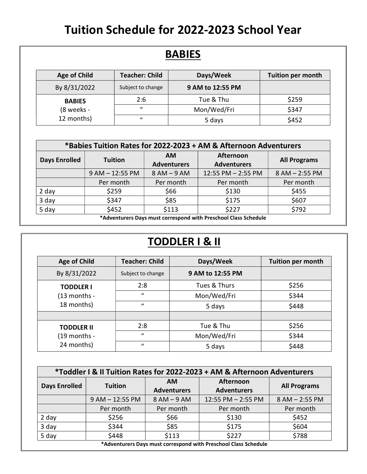## Tuition Schedule for 2022-2023 School Year

| <b>Age of Child</b> | <b>Teacher: Child</b> | Days/Week        | Tuition per month |
|---------------------|-----------------------|------------------|-------------------|
| By 8/31/2022        | Subject to change     | 9 AM to 12:55 PM |                   |
| <b>BABIES</b>       | 2:6                   | Tue & Thu        | \$259             |
| (8 weeks -          | $\mathcal{U}$         | Mon/Wed/Fri      | \$347             |
| 12 months)          | $\mathcal{U}$         | 5 days           | \$452             |

| *Babies Tuition Rates for 2022-2023 + AM & Afternoon Adventurers |                   |                                 |                                 |                     |  |
|------------------------------------------------------------------|-------------------|---------------------------------|---------------------------------|---------------------|--|
| <b>Days Enrolled</b>                                             | <b>Tuition</b>    | <b>AM</b><br><b>Adventurers</b> | Afternoon<br><b>Adventurers</b> | <b>All Programs</b> |  |
|                                                                  | $9 AM - 12:55 PM$ | $8 AM - 9 AM$                   | 12:55 PM - 2:55 PM              | 8 AM - 2:55 PM      |  |
|                                                                  | Per month         | Per month                       | Per month                       | Per month           |  |
| 2 day                                                            | \$259             | \$66                            | \$130                           | \$455               |  |
| 3 day                                                            | \$347             | \$85                            | \$175                           | \$607               |  |
| 5 day                                                            | \$452             | \$113                           | \$227                           | \$792               |  |
| *Adventurers Dovs must serrespend with Dressbeel Class Schedule  |                   |                                 |                                 |                     |  |

\*Adventurers Days must correspond with Preschool Class Schedule

## TODDLER I & II

| <b>Age of Child</b>                             | <b>Teacher: Child</b> | Days/Week        | <b>Tuition per month</b> |
|-------------------------------------------------|-----------------------|------------------|--------------------------|
| By 8/31/2022                                    | Subject to change     | 9 AM to 12:55 PM |                          |
| <b>TODDLER I</b>                                | 2:8                   | Tues & Thurs     | \$256                    |
| $(13$ months -                                  | $\mathbf{u}$          | Mon/Wed/Fri      | \$344                    |
| 18 months)                                      | $\mathbf{u}$          | 5 days           | \$448                    |
|                                                 |                       |                  |                          |
| <b>TODDLER II</b><br>(19 months -<br>24 months) | 2:8                   | Tue & Thu        | \$256                    |
|                                                 | $\mathbf{u}$          | Mon/Wed/Fri      | \$344                    |
|                                                 | $\mathbf{u}$          | 5 days           | \$448                    |

| *Toddler I & II Tuition Rates for 2022-2023 + AM & Afternoon Adventurers |                 |                          |                                 |                     |
|--------------------------------------------------------------------------|-----------------|--------------------------|---------------------------------|---------------------|
| <b>Days Enrolled</b>                                                     | <b>Tuition</b>  | AM<br><b>Adventurers</b> | Afternoon<br><b>Adventurers</b> | <b>All Programs</b> |
|                                                                          | 9 AM - 12:55 PM | $8 AM - 9 AM$            | 12:55 PM - 2:55 PM              | 8 AM - 2:55 PM      |
|                                                                          | Per month       | Per month                | Per month                       | Per month           |
| 2 day                                                                    | \$256           | \$66                     | \$130                           | \$452               |
| 3 day                                                                    | \$344           | \$85                     | \$175                           | \$604               |
| 5 day                                                                    | \$448           | \$113                    | \$227                           | \$788               |
| *Adventurers Days must correspond with Preschool Class Schedule          |                 |                          |                                 |                     |